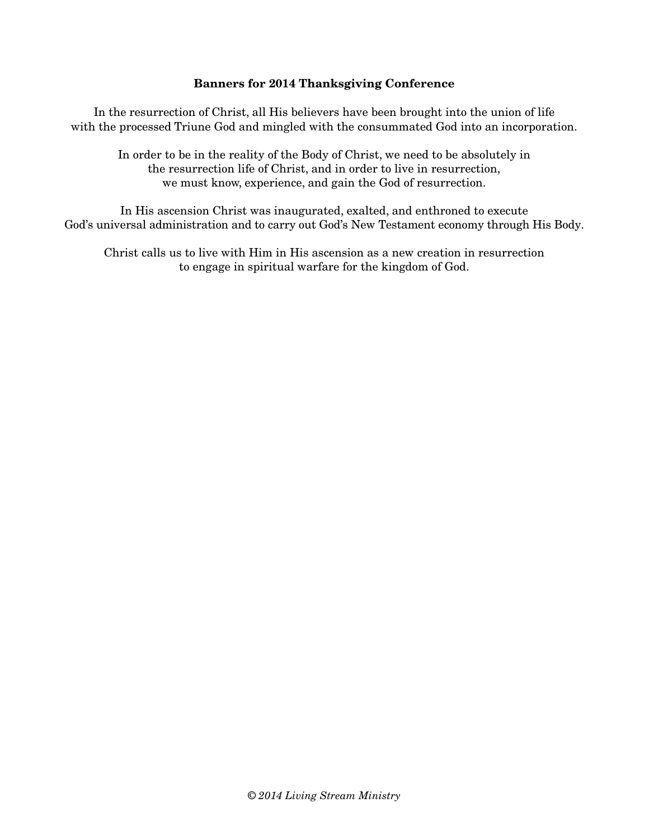#### **Banners for 2014 Thanksgiving Conference**

In the resurrection of Christ, all His believers have been brought into the union of life with the processed Triune God and mingled with the consummated God into an incorporation.

In order to be in the reality of the Body of Christ, we need to be absolutely in the resurrection life of Christ, and in order to live in resurrection, we must know, experience, and gain the God of resurrection.

In His ascension Christ was inaugurated, exalted, and enthroned to execute God's universal administration and to carry out God's New Testament economy through His Body.

Christ calls us to live with Him in His ascension as a new creation in resurrection to engage in spiritual warfare for the kingdom of God.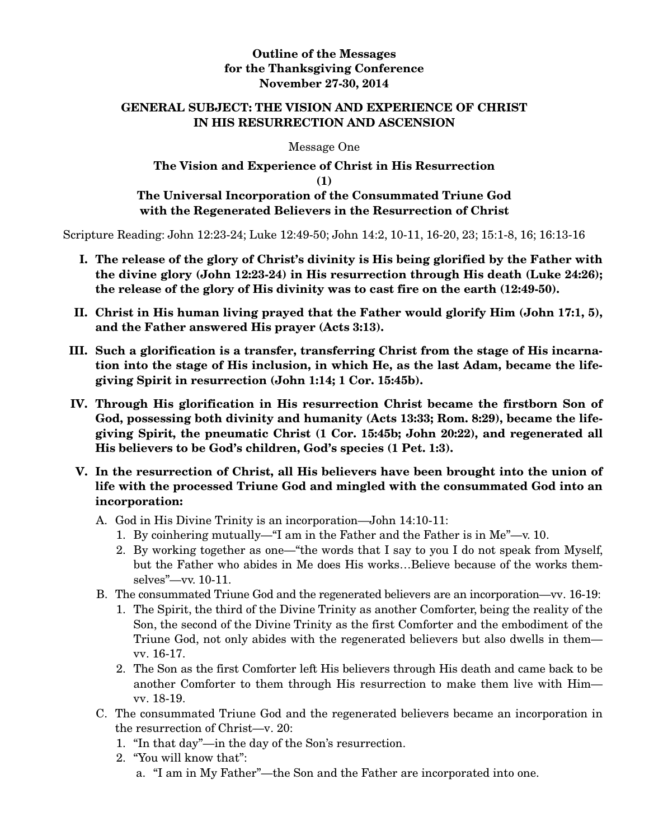### **Outline of the Messages for the Thanksgiving Conference November 27-30, 2014**

### **GENERAL SUBJECT: THE VISION AND EXPERIENCE OF CHRIST IN HIS RESURRECTION AND ASCENSION**

Message One

## **The Vision and Experience of Christ in His Resurrection (1) The Universal Incorporation of the Consummated Triune God with the Regenerated Believers in the Resurrection of Christ**

Scripture Reading: John 12:23-24; Luke 12:49-50; John 14:2, 10-11, 16-20, 23; 15:1-8, 16; 16:13-16

- **I. The release of the glory of Christ's divinity is His being glorified by the Father with the divine glory (John 12:23-24) in His resurrection through His death (Luke 24:26); the release of the glory of His divinity was to cast fire on the earth (12:49-50).**
- **II. Christ in His human living prayed that the Father would glorify Him (John 17:1, 5), and the Father answered His prayer (Acts 3:13).**
- **III. Such a glorification is a transfer, transferring Christ from the stage of His incarnation into the stage of His inclusion, in which He, as the last Adam, became the lifegiving Spirit in resurrection (John 1:14; 1 Cor. 15:45b).**
- **IV. Through His glorification in His resurrection Christ became the firstborn Son of God, possessing both divinity and humanity (Acts 13:33; Rom. 8:29), became the lifegiving Spirit, the pneumatic Christ (1 Cor. 15:45b; John 20:22), and regenerated all His believers to be God's children, God's species (1 Pet. 1:3).**
- **V. In the resurrection of Christ, all His believers have been brought into the union of life with the processed Triune God and mingled with the consummated God into an incorporation:** 
	- A. God in His Divine Trinity is an incorporation—John 14:10-11:
		- 1. By coinhering mutually—"I am in the Father and the Father is in Me"—v. 10.
		- 2. By working together as one—"the words that I say to you I do not speak from Myself, but the Father who abides in Me does His works…Believe because of the works themselves"—vv. 10-11.
	- B. The consummated Triune God and the regenerated believers are an incorporation—vv. 16-19:
		- 1. The Spirit, the third of the Divine Trinity as another Comforter, being the reality of the Son, the second of the Divine Trinity as the first Comforter and the embodiment of the Triune God, not only abides with the regenerated believers but also dwells in them vv. 16-17.
		- 2. The Son as the first Comforter left His believers through His death and came back to be another Comforter to them through His resurrection to make them live with Him vv. 18-19.
	- C. The consummated Triune God and the regenerated believers became an incorporation in the resurrection of Christ—v. 20:
		- 1. "In that day"—in the day of the Son's resurrection.
		- 2. "You will know that":
			- a. "I am in My Father"—the Son and the Father are incorporated into one.